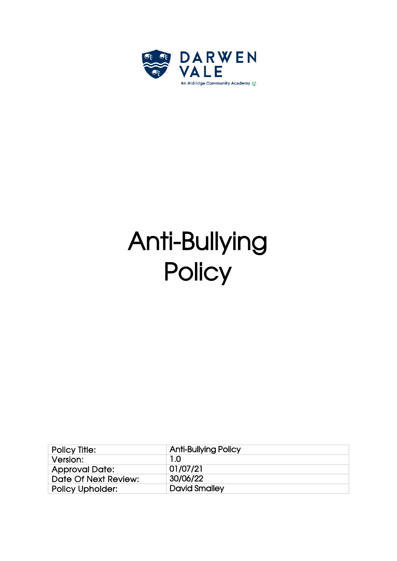

# Anti-Bullying **Policy**

| <b>Policy Title:</b>    | <b>Anti-Bullying Policy</b> |
|-------------------------|-----------------------------|
| Version:                | 1.0                         |
| <b>Approval Date:</b>   | 01/07/21                    |
| Date Of Next Review:    | 30/06/22                    |
| <b>Policy Upholder:</b> | <b>David Smalley</b>        |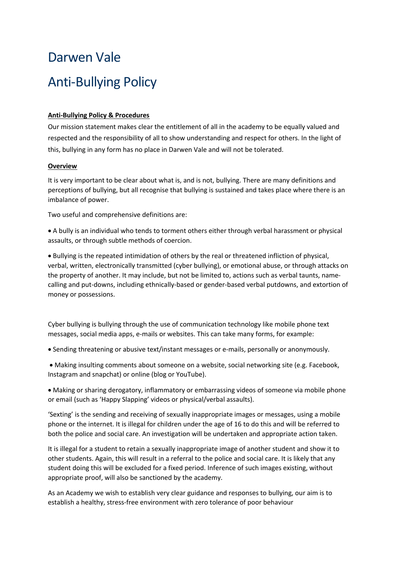# Darwen Vale Anti-Bullying Policy

## **Anti-Bullying Policy & Procedures**

Our mission statement makes clear the entitlement of all in the academy to be equally valued and respected and the responsibility of all to show understanding and respect for others. In the light of this, bullying in any form has no place in Darwen Vale and will not be tolerated.

### **Overview**

It is very important to be clear about what is, and is not, bullying. There are many definitions and perceptions of bullying, but all recognise that bullying is sustained and takes place where there is an imbalance of power.

Two useful and comprehensive definitions are:

• A bully is an individual who tends to torment others either through verbal harassment or physical assaults, or through subtle methods of coercion.

• Bullying is the repeated intimidation of others by the real or threatened infliction of physical, verbal, written, electronically transmitted (cyber bullying), or emotional abuse, or through attacks on the property of another. It may include, but not be limited to, actions such as verbal taunts, namecalling and put-downs, including ethnically-based or gender-based verbal putdowns, and extortion of money or possessions.

Cyber bullying is bullying through the use of communication technology like mobile phone text messages, social media apps, e-mails or websites. This can take many forms, for example:

• Sending threatening or abusive text/instant messages or e-mails, personally or anonymously.

• Making insulting comments about someone on a website, social networking site (e.g. Facebook, Instagram and snapchat) or online (blog or YouTube).

• Making or sharing derogatory, inflammatory or embarrassing videos of someone via mobile phone or email (such as 'Happy Slapping' videos or physical/verbal assaults).

'Sexting' is the sending and receiving of sexually inappropriate images or messages, using a mobile phone or the internet. It is illegal for children under the age of 16 to do this and will be referred to both the police and social care. An investigation will be undertaken and appropriate action taken.

It is illegal for a student to retain a sexually inappropriate image of another student and show it to other students. Again, this will result in a referral to the police and social care. It is likely that any student doing this will be excluded for a fixed period. Inference of such images existing, without appropriate proof, will also be sanctioned by the academy.

As an Academy we wish to establish very clear guidance and responses to bullying, our aim is to establish a healthy, stress-free environment with zero tolerance of poor behaviour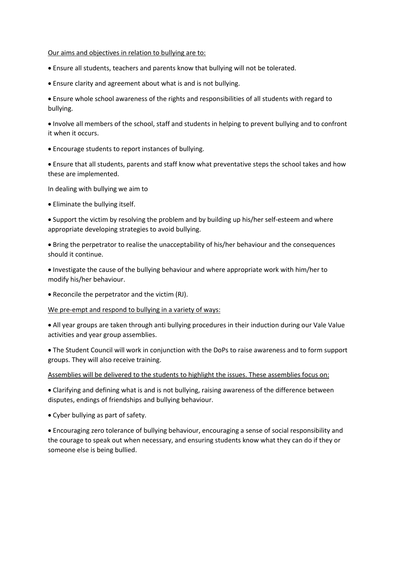#### Our aims and objectives in relation to bullying are to:

- Ensure all students, teachers and parents know that bullying will not be tolerated.
- Ensure clarity and agreement about what is and is not bullying.

• Ensure whole school awareness of the rights and responsibilities of all students with regard to bullying.

• Involve all members of the school, staff and students in helping to prevent bullying and to confront it when it occurs.

• Encourage students to report instances of bullying.

• Ensure that all students, parents and staff know what preventative steps the school takes and how these are implemented.

In dealing with bullying we aim to

• Eliminate the bullying itself.

• Support the victim by resolving the problem and by building up his/her self-esteem and where appropriate developing strategies to avoid bullying.

• Bring the perpetrator to realise the unacceptability of his/her behaviour and the consequences should it continue.

• Investigate the cause of the bullying behaviour and where appropriate work with him/her to modify his/her behaviour.

• Reconcile the perpetrator and the victim (RJ).

We pre-empt and respond to bullying in a variety of ways:

• All year groups are taken through anti bullying procedures in their induction during our Vale Value activities and year group assemblies.

• The Student Council will work in conjunction with the DoPs to raise awareness and to form support groups. They will also receive training.

#### Assemblies will be delivered to the students to highlight the issues. These assemblies focus on:

• Clarifying and defining what is and is not bullying, raising awareness of the difference between disputes, endings of friendships and bullying behaviour.

• Cyber bullying as part of safety.

• Encouraging zero tolerance of bullying behaviour, encouraging a sense of social responsibility and the courage to speak out when necessary, and ensuring students know what they can do if they or someone else is being bullied.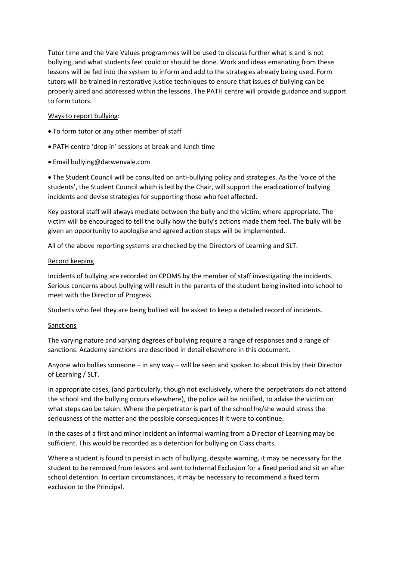Tutor time and the Vale Values programmes will be used to discuss further what is and is not bullying, and what students feel could or should be done. Work and ideas emanating from these lessons will be fed into the system to inform and add to the strategies already being used. Form tutors will be trained in restorative justice techniques to ensure that issues of bullying can be properly aired and addressed within the lessons. The PATH centre will provide guidance and support to form tutors.

#### Ways to report bullying:

- To form tutor or any other member of staff
- PATH centre 'drop in' sessions at break and lunch time
- Email bullying@darwenvale.com

• The Student Council will be consulted on anti-bullying policy and strategies. As the 'voice of the students', the Student Council which is led by the Chair, will support the eradication of bullying incidents and devise strategies for supporting those who feel affected.

Key pastoral staff will always mediate between the bully and the victim, where appropriate. The victim will be encouraged to tell the bully how the bully's actions made them feel. The bully will be given an opportunity to apologise and agreed action steps will be implemented.

All of the above reporting systems are checked by the Directors of Learning and SLT.

#### Record keeping

Incidents of bullying are recorded on CPOMS by the member of staff investigating the incidents. Serious concerns about bullying will result in the parents of the student being invited into school to meet with the Director of Progress.

Students who feel they are being bullied will be asked to keep a detailed record of incidents.

#### Sanctions

The varying nature and varying degrees of bullying require a range of responses and a range of sanctions. Academy sanctions are described in detail elsewhere in this document.

Anyone who bullies someone – in any way – will be seen and spoken to about this by their Director of Learning / SLT.

In appropriate cases, (and particularly, though not exclusively, where the perpetrators do not attend the school and the bullying occurs elsewhere), the police will be notified, to advise the victim on what steps can be taken. Where the perpetrator is part of the school he/she would stress the seriousness of the matter and the possible consequences if it were to continue.

In the cases of a first and minor incident an informal warning from a Director of Learning may be sufficient. This would be recorded as a detention for bullying on Class charts.

Where a student is found to persist in acts of bullying, despite warning, it may be necessary for the student to be removed from lessons and sent to Internal Exclusion for a fixed period and sit an after school detention. In certain circumstances, it may be necessary to recommend a fixed term exclusion to the Principal.